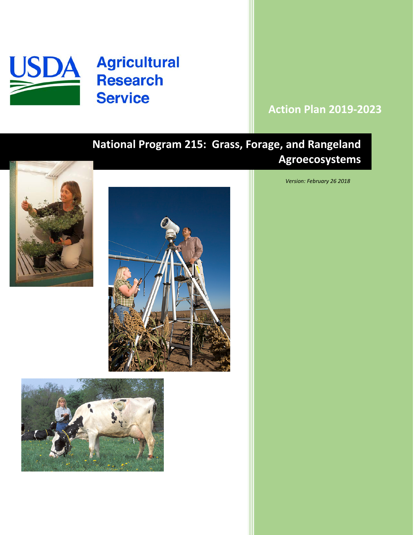

# **Action Plan 2019-2023**

# **National Program 215: Grass, Forage, and Rangeland Agroecosystems**







*Version: February 26 2018*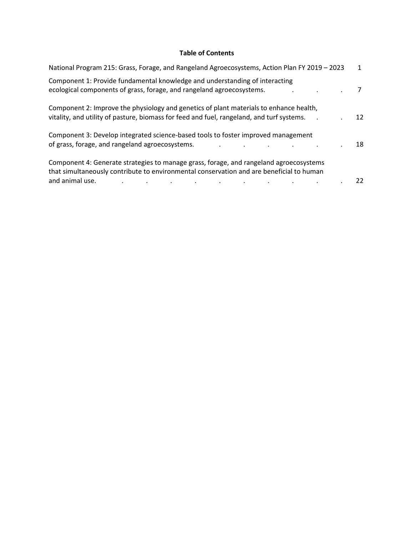# **Table of Contents**

| National Program 215: Grass, Forage, and Rangeland Agroecosystems, Action Plan FY 2019 - 2023                                                                                       | 1  |
|-------------------------------------------------------------------------------------------------------------------------------------------------------------------------------------|----|
| Component 1: Provide fundamental knowledge and understanding of interacting<br>ecological components of grass, forage, and rangeland agroecosystems.                                |    |
| Component 2: Improve the physiology and genetics of plant materials to enhance health,<br>vitality, and utility of pasture, biomass for feed and fuel, rangeland, and turf systems. | 12 |
| Component 3: Develop integrated science-based tools to foster improved management<br>of grass, forage, and rangeland agroecosystems.                                                | 18 |
| Component 4: Generate strategies to manage grass, forage, and rangeland agroecosystems<br>that simultaneously contribute to environmental conservation and are beneficial to human  |    |
| and animal use.                                                                                                                                                                     | 22 |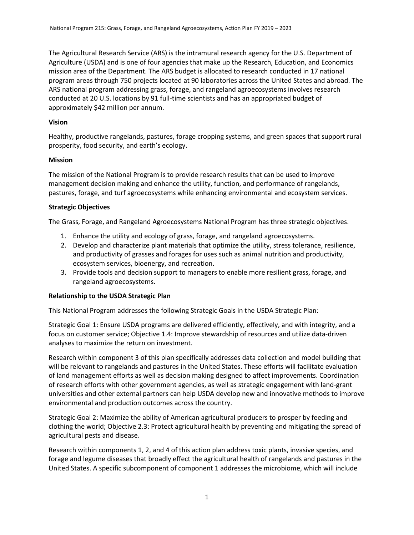The Agricultural Research Service (ARS) is the intramural research agency for the U.S. Department of Agriculture (USDA) and is one of four agencies that make up the Research, Education, and Economics mission area of the Department. The ARS budget is allocated to research conducted in 17 national program areas through 750 projects located at 90 laboratories across the United States and abroad. The ARS national program addressing grass, forage, and rangeland agroecosystems involves research conducted at 20 U.S. locations by 91 full-time scientists and has an appropriated budget of approximately \$42 million per annum.

# **Vision**

Healthy, productive rangelands, pastures, forage cropping systems, and green spaces that support rural prosperity, food security, and earth's ecology.

### **Mission**

The mission of the National Program is to provide research results that can be used to improve management decision making and enhance the utility, function, and performance of rangelands, pastures, forage, and turf agroecosystems while enhancing environmental and ecosystem services.

### **Strategic Objectives**

The Grass, Forage, and Rangeland Agroecosystems National Program has three strategic objectives.

- 1. Enhance the utility and ecology of grass, forage, and rangeland agroecosystems.
- 2. Develop and characterize plant materials that optimize the utility, stress tolerance, resilience, and productivity of grasses and forages for uses such as animal nutrition and productivity, ecosystem services, bioenergy, and recreation.
- 3. Provide tools and decision support to managers to enable more resilient grass, forage, and rangeland agroecosystems.

#### **Relationship to the USDA Strategic Plan**

This National Program addresses the following Strategic Goals in the USDA Strategic Plan:

Strategic Goal 1: Ensure USDA programs are delivered efficiently, effectively, and with integrity, and a focus on customer service; Objective 1.4: Improve stewardship of resources and utilize data-driven analyses to maximize the return on investment.

Research within component 3 of this plan specifically addresses data collection and model building that will be relevant to rangelands and pastures in the United States. These efforts will facilitate evaluation of land management efforts as well as decision making designed to affect improvements. Coordination of research efforts with other government agencies, as well as strategic engagement with land-grant universities and other external partners can help USDA develop new and innovative methods to improve environmental and production outcomes across the country.

Strategic Goal 2: Maximize the ability of American agricultural producers to prosper by feeding and clothing the world; Objective 2.3: Protect agricultural health by preventing and mitigating the spread of agricultural pests and disease.

Research within components 1, 2, and 4 of this action plan address toxic plants, invasive species, and forage and legume diseases that broadly effect the agricultural health of rangelands and pastures in the United States. A specific subcomponent of component 1 addresses the microbiome, which will include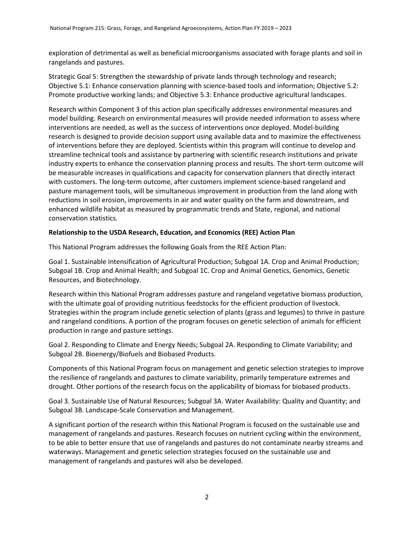exploration of detrimental as well as beneficial microorganisms associated with forage plants and soil in rangelands and pastures.

Strategic Goal 5: Strengthen the stewardship of private lands through technology and research; Objective 5.1: Enhance conservation planning with science-based tools and information; Objective 5.2: Promote productive working lands; and Objective 5.3: Enhance productive agricultural landscapes.

Research within Component 3 of this action plan specifically addresses environmental measures and model building. Research on environmental measures will provide needed information to assess where interventions are needed, as well as the success of interventions once deployed. Model-building research is designed to provide decision support using available data and to maximize the effectiveness of interventions before they are deployed. Scientists within this program will continue to develop and streamline technical tools and assistance by partnering with scientific research institutions and private industry experts to enhance the conservation planning process and results. The short-term outcome will be measurable increases in qualifications and capacity for conservation planners that directly interact with customers. The long-term outcome, after customers implement science-based rangeland and pasture management tools, will be simultaneous improvement in production from the land along with reductions in soil erosion, improvements in air and water quality on the farm and downstream, and enhanced wildlife habitat as measured by programmatic trends and State, regional, and national conservation statistics.

# **Relationship to the USDA Research, Education, and Economics (REE) Action Plan**

This National Program addresses the following Goals from the REE Action Plan:

Goal 1. Sustainable Intensification of Agricultural Production; Subgoal 1A. Crop and Animal Production; Subgoal 1B. Crop and Animal Health; and Subgoal 1C. Crop and Animal Genetics, Genomics, Genetic Resources, and Biotechnology.

Research within this National Program addresses pasture and rangeland vegetative biomass production, with the ultimate goal of providing nutritious feedstocks for the efficient production of livestock. Strategies within the program include genetic selection of plants (grass and legumes) to thrive in pasture and rangeland conditions. A portion of the program focuses on genetic selection of animals for efficient production in range and pasture settings.

Goal 2. Responding to Climate and Energy Needs; Subgoal 2A. Responding to Climate Variability; and Subgoal 2B. Bioenergy/Biofuels and Biobased Products.

Components of this National Program focus on management and genetic selection strategies to improve the resilience of rangelands and pastures to climate variability, primarily temperature extremes and drought. Other portions of the research focus on the applicability of biomass for biobased products.

Goal 3. Sustainable Use of Natural Resources; Subgoal 3A. Water Availability: Quality and Quantity; and Subgoal 3B. Landscape-Scale Conservation and Management.

A significant portion of the research within this National Program is focused on the sustainable use and management of rangelands and pastures. Research focuses on nutrient cycling within the environment, to be able to better ensure that use of rangelands and pastures do not contaminate nearby streams and waterways. Management and genetic selection strategies focused on the sustainable use and management of rangelands and pastures will also be developed.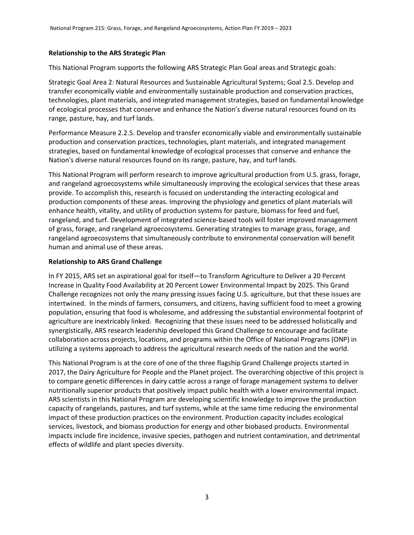# **Relationship to the ARS Strategic Plan**

This National Program supports the following ARS Strategic Plan Goal areas and Strategic goals:

Strategic Goal Area 2: Natural Resources and Sustainable Agricultural Systems; Goal 2.5. Develop and transfer economically viable and environmentally sustainable production and conservation practices, technologies, plant materials, and integrated management strategies, based on fundamental knowledge of ecological processes that conserve and enhance the Nation's diverse natural resources found on its range, pasture, hay, and turf lands.

Performance Measure 2.2.5. Develop and transfer economically viable and environmentally sustainable production and conservation practices, technologies, plant materials, and integrated management strategies, based on fundamental knowledge of ecological processes that conserve and enhance the Nation's diverse natural resources found on its range, pasture, hay, and turf lands.

This National Program will perform research to improve agricultural production from U.S. grass, forage, and rangeland agroecosystems while simultaneously improving the ecological services that these areas provide. To accomplish this, research is focused on understanding the interacting ecological and production components of these areas. Improving the physiology and genetics of plant materials will enhance health, vitality, and utility of production systems for pasture, biomass for feed and fuel, rangeland, and turf. Development of integrated science-based tools will foster improved management of grass, forage, and rangeland agroecosystems. Generating strategies to manage grass, forage, and rangeland agroecosystems that simultaneously contribute to environmental conservation will benefit human and animal use of these areas.

### **Relationship to ARS Grand Challenge**

In FY 2015, ARS set an aspirational goal for itself—to Transform Agriculture to Deliver a 20 Percent Increase in Quality Food Availability at 20 Percent Lower Environmental Impact by 2025. This Grand Challenge recognizes not only the many pressing issues facing U.S. agriculture, but that these issues are intertwined. In the minds of farmers, consumers, and citizens, having sufficient food to meet a growing population, ensuring that food is wholesome, and addressing the substantial environmental footprint of agriculture are inextricably linked. Recognizing that these issues need to be addressed holistically and synergistically, ARS research leadership developed this Grand Challenge to encourage and facilitate collaboration across projects, locations, and programs within the Office of National Programs (ONP) in utilizing a systems approach to address the agricultural research needs of the nation and the world.

This National Program is at the core of one of the three flagship Grand Challenge projects started in 2017, the Dairy Agriculture for People and the Planet project. The overarching objective of this project is to compare genetic differences in dairy cattle across a range of forage management systems to deliver nutritionally superior products that positively impact public health with a lower environmental impact. ARS scientists in this National Program are developing scientific knowledge to improve the production capacity of rangelands, pastures, and turf systems, while at the same time reducing the environmental impact of these production practices on the environment. Production capacity includes ecological services, livestock, and biomass production for energy and other biobased products. Environmental impacts include fire incidence, invasive species, pathogen and nutrient contamination, and detrimental effects of wildlife and plant species diversity.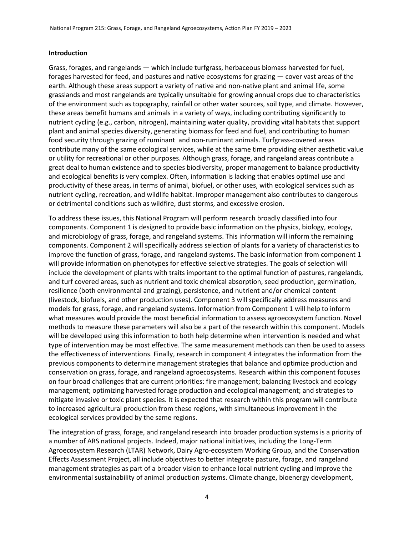#### **Introduction**

Grass, forages, and rangelands — which include turfgrass, herbaceous biomass harvested for fuel, forages harvested for feed, and pastures and native ecosystems for grazing — cover vast areas of the earth. Although these areas support a variety of native and non-native plant and animal life, some grasslands and most rangelands are typically unsuitable for growing annual crops due to characteristics of the environment such as topography, rainfall or other water sources, soil type, and climate. However, these areas benefit humans and animals in a variety of ways, including contributing significantly to nutrient cycling (e.g., carbon, nitrogen), maintaining water quality, providing vital habitats that support plant and animal species diversity, generating biomass for feed and fuel, and contributing to human food security through grazing of ruminant and non-ruminant animals. Turfgrass-covered areas contribute many of the same ecological services, while at the same time providing either aesthetic value or utility for recreational or other purposes. Although grass, forage, and rangeland areas contribute a great deal to human existence and to species biodiversity, proper management to balance productivity and ecological benefits is very complex. Often, information is lacking that enables optimal use and productivity of these areas, in terms of animal, biofuel, or other uses, with ecological services such as nutrient cycling, recreation, and wildlife habitat. Improper management also contributes to dangerous or detrimental conditions such as wildfire, dust storms, and excessive erosion.

To address these issues, this National Program will perform research broadly classified into four components. Component 1 is designed to provide basic information on the physics, biology, ecology, and microbiology of grass, forage, and rangeland systems. This information will inform the remaining components. Component 2 will specifically address selection of plants for a variety of characteristics to improve the function of grass, forage, and rangeland systems. The basic information from component 1 will provide information on phenotypes for effective selective strategies. The goals of selection will include the development of plants with traits important to the optimal function of pastures, rangelands, and turf covered areas, such as nutrient and toxic chemical absorption, seed production, germination, resilience (both environmental and grazing), persistence, and nutrient and/or chemical content (livestock, biofuels, and other production uses). Component 3 will specifically address measures and models for grass, forage, and rangeland systems. Information from Component 1 will help to inform what measures would provide the most beneficial information to assess agroecosystem function. Novel methods to measure these parameters will also be a part of the research within this component. Models will be developed using this information to both help determine when intervention is needed and what type of intervention may be most effective. The same measurement methods can then be used to assess the effectiveness of interventions. Finally, research in component 4 integrates the information from the previous components to determine management strategies that balance and optimize production and conservation on grass, forage, and rangeland agroecosystems. Research within this component focuses on four broad challenges that are current priorities: fire management; balancing livestock and ecology management; optimizing harvested forage production and ecological management; and strategies to mitigate invasive or toxic plant species. It is expected that research within this program will contribute to increased agricultural production from these regions, with simultaneous improvement in the ecological services provided by the same regions.

The integration of grass, forage, and rangeland research into broader production systems is a priority of a number of ARS national projects. Indeed, major national initiatives, including the Long-Term Agroecosystem Research (LTAR) Network, Dairy Agro-ecosystem Working Group, and the Conservation Effects Assessment Project, all include objectives to better integrate pasture, forage, and rangeland management strategies as part of a broader vision to enhance local nutrient cycling and improve the environmental sustainability of animal production systems. Climate change, bioenergy development,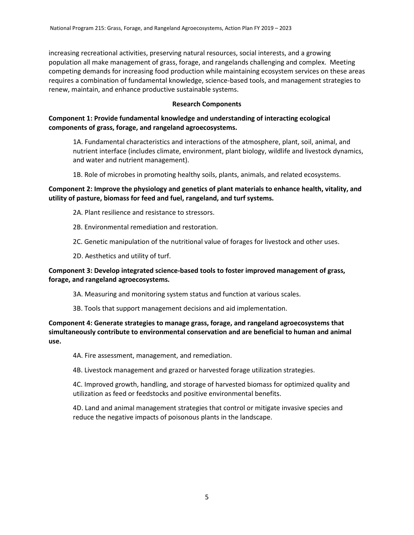increasing recreational activities, preserving natural resources, social interests, and a growing population all make management of grass, forage, and rangelands challenging and complex. Meeting competing demands for increasing food production while maintaining ecosystem services on these areas requires a combination of fundamental knowledge, science-based tools, and management strategies to renew, maintain, and enhance productive sustainable systems.

#### **Research Components**

# **Component 1: Provide fundamental knowledge and understanding of interacting ecological components of grass, forage, and rangeland agroecosystems.**

1A. Fundamental characteristics and interactions of the atmosphere, plant, soil, animal, and nutrient interface (includes climate, environment, plant biology, wildlife and livestock dynamics, and water and nutrient management).

1B. Role of microbes in promoting healthy soils, plants, animals, and related ecosystems.

# **Component 2: Improve the physiology and genetics of plant materials to enhance health, vitality, and utility of pasture, biomass for feed and fuel, rangeland, and turf systems.**

- 2A. Plant resilience and resistance to stressors.
- 2B. Environmental remediation and restoration.
- 2C. Genetic manipulation of the nutritional value of forages for livestock and other uses.
- 2D. Aesthetics and utility of turf.

# **Component 3: Develop integrated science-based tools to foster improved management of grass, forage, and rangeland agroecosystems.**

- 3A. Measuring and monitoring system status and function at various scales.
- 3B. Tools that support management decisions and aid implementation.

**Component 4: Generate strategies to manage grass, forage, and rangeland agroecosystems that simultaneously contribute to environmental conservation and are beneficial to human and animal use.** 

4A. Fire assessment, management, and remediation.

4B. Livestock management and grazed or harvested forage utilization strategies.

4C. Improved growth, handling, and storage of harvested biomass for optimized quality and utilization as feed or feedstocks and positive environmental benefits.

4D. Land and animal management strategies that control or mitigate invasive species and reduce the negative impacts of poisonous plants in the landscape.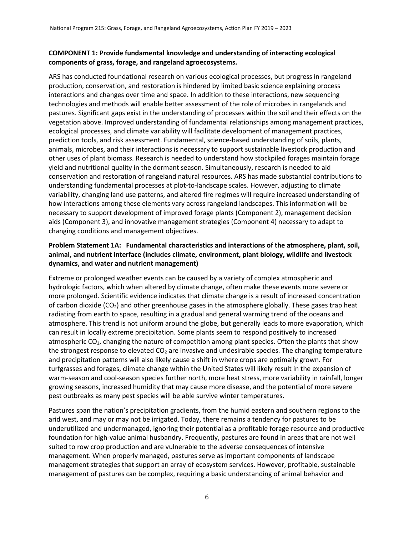# **COMPONENT 1: Provide fundamental knowledge and understanding of interacting ecological components of grass, forage, and rangeland agroecosystems.**

ARS has conducted foundational research on various ecological processes, but progress in rangeland production, conservation, and restoration is hindered by limited basic science explaining process interactions and changes over time and space. In addition to these interactions, new sequencing technologies and methods will enable better assessment of the role of microbes in rangelands and pastures. Significant gaps exist in the understanding of processes within the soil and their effects on the vegetation above. Improved understanding of fundamental relationships among management practices, ecological processes, and climate variability will facilitate development of management practices, prediction tools, and risk assessment. Fundamental, science-based understanding of soils, plants, animals, microbes, and their interactions is necessary to support sustainable livestock production and other uses of plant biomass. Research is needed to understand how stockpiled forages maintain forage yield and nutritional quality in the dormant season. Simultaneously, research is needed to aid conservation and restoration of rangeland natural resources. ARS has made substantial contributions to understanding fundamental processes at plot-to-landscape scales. However, adjusting to climate variability, changing land use patterns, and altered fire regimes will require increased understanding of how interactions among these elements vary across rangeland landscapes. This information will be necessary to support development of improved forage plants (Component 2), management decision aids (Component 3), and innovative management strategies (Component 4) necessary to adapt to changing conditions and management objectives.

# **Problem Statement 1A: Fundamental characteristics and interactions of the atmosphere, plant, soil, animal, and nutrient interface (includes climate, environment, plant biology, wildlife and livestock dynamics, and water and nutrient management)**

Extreme or prolonged weather events can be caused by a variety of complex atmospheric and hydrologic factors, which when altered by climate change, often make these events more severe or more prolonged. Scientific evidence indicates that climate change is a result of increased concentration of carbon dioxide  $(CO_2)$  and other greenhouse gases in the atmosphere globally. These gases trap heat radiating from earth to space, resulting in a gradual and general warming trend of the oceans and atmosphere. This trend is not uniform around the globe, but generally leads to more evaporation, which can result in locally extreme precipitation. Some plants seem to respond positively to increased atmospheric CO2, changing the nature of competition among plant species. Often the plants that show the strongest response to elevated  $CO<sub>2</sub>$  are invasive and undesirable species. The changing temperature and precipitation patterns will also likely cause a shift in where crops are optimally grown. For turfgrasses and forages, climate change within the United States will likely result in the expansion of warm-season and cool-season species further north, more heat stress, more variability in rainfall, longer growing seasons, increased humidity that may cause more disease, and the potential of more severe pest outbreaks as many pest species will be able survive winter temperatures.

Pastures span the nation's precipitation gradients, from the humid eastern and southern regions to the arid west, and may or may not be irrigated. Today, there remains a tendency for pastures to be underutilized and undermanaged, ignoring their potential as a profitable forage resource and productive foundation for high-value animal husbandry. Frequently, pastures are found in areas that are not well suited to row crop production and are vulnerable to the adverse consequences of intensive management. When properly managed, pastures serve as important components of landscape management strategies that support an array of ecosystem services. However, profitable, sustainable management of pastures can be complex, requiring a basic understanding of animal behavior and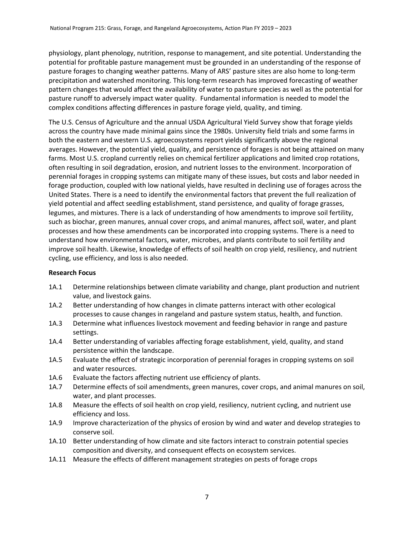physiology, plant phenology, nutrition, response to management, and site potential. Understanding the potential for profitable pasture management must be grounded in an understanding of the response of pasture forages to changing weather patterns. Many of ARS' pasture sites are also home to long-term precipitation and watershed monitoring. This long-term research has improved forecasting of weather pattern changes that would affect the availability of water to pasture species as well as the potential for pasture runoff to adversely impact water quality. Fundamental information is needed to model the complex conditions affecting differences in pasture forage yield, quality, and timing.

The U.S. Census of Agriculture and the annual USDA Agricultural Yield Survey show that forage yields across the country have made minimal gains since the 1980s. University field trials and some farms in both the eastern and western U.S. agroecosystems report yields significantly above the regional averages. However, the potential yield, quality, and persistence of forages is not being attained on many farms. Most U.S. cropland currently relies on chemical fertilizer applications and limited crop rotations, often resulting in soil degradation, erosion, and nutrient losses to the environment. Incorporation of perennial forages in cropping systems can mitigate many of these issues, but costs and labor needed in forage production, coupled with low national yields, have resulted in declining use of forages across the United States. There is a need to identify the environmental factors that prevent the full realization of yield potential and affect seedling establishment, stand persistence, and quality of forage grasses, legumes, and mixtures. There is a lack of understanding of how amendments to improve soil fertility, such as biochar, green manures, annual cover crops, and animal manures, affect soil, water, and plant processes and how these amendments can be incorporated into cropping systems. There is a need to understand how environmental factors, water, microbes, and plants contribute to soil fertility and improve soil health. Likewise, knowledge of effects of soil health on crop yield, resiliency, and nutrient cycling, use efficiency, and loss is also needed.

# **Research Focus**

- 1A.1 Determine relationships between climate variability and change, plant production and nutrient value, and livestock gains.
- 1A.2 Better understanding of how changes in climate patterns interact with other ecological processes to cause changes in rangeland and pasture system status, health, and function.
- 1A.3 Determine what influences livestock movement and feeding behavior in range and pasture settings.
- 1A.4 Better understanding of variables affecting forage establishment, yield, quality, and stand persistence within the landscape.
- 1A.5 Evaluate the effect of strategic incorporation of perennial forages in cropping systems on soil and water resources.
- 1A.6 Evaluate the factors affecting nutrient use efficiency of plants.
- 1A.7 Determine effects of soil amendments, green manures, cover crops, and animal manures on soil, water, and plant processes.
- 1A.8 Measure the effects of soil health on crop yield, resiliency, nutrient cycling, and nutrient use efficiency and loss.
- 1A.9 Improve characterization of the physics of erosion by wind and water and develop strategies to conserve soil.
- 1A.10 Better understanding of how climate and site factors interact to constrain potential species composition and diversity, and consequent effects on ecosystem services.
- 1A.11 Measure the effects of different management strategies on pests of forage crops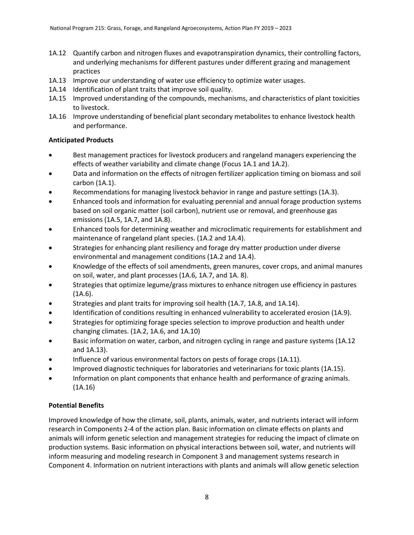- 1A.12 Quantify carbon and nitrogen fluxes and evapotranspiration dynamics, their controlling factors, and underlying mechanisms for different pastures under different grazing and management practices
- 1A.13 Improve our understanding of water use efficiency to optimize water usages.
- 1A.14 Identification of plant traits that improve soil quality.
- 1A.15 Improved understanding of the compounds, mechanisms, and characteristics of plant toxicities to livestock.
- 1A.16 Improve understanding of beneficial plant secondary metabolites to enhance livestock health and performance.

# **Anticipated Products**

- Best management practices for livestock producers and rangeland managers experiencing the effects of weather variability and climate change (Focus 1A.1 and 1A.2).
- Data and information on the effects of nitrogen fertilizer application timing on biomass and soil carbon (1A.1).
- Recommendations for managing livestock behavior in range and pasture settings (1A.3).
- Enhanced tools and information for evaluating perennial and annual forage production systems based on soil organic matter (soil carbon), nutrient use or removal, and greenhouse gas emissions (1A.5, 1A.7, and 1A.8).
- Enhanced tools for determining weather and microclimatic requirements for establishment and maintenance of rangeland plant species. (1A.2 and 1A.4).
- Strategies for enhancing plant resiliency and forage dry matter production under diverse environmental and management conditions (1A.2 and 1A.4).
- Knowledge of the effects of soil amendments, green manures, cover crops, and animal manures on soil, water, and plant processes (1A.6, 1A.7, and 1A. 8).
- Strategies that optimize legume/grass mixtures to enhance nitrogen use efficiency in pastures  $(1A.6).$
- Strategies and plant traits for improving soil health (1A.7, 1A.8, and 1A.14).
- Identification of conditions resulting in enhanced vulnerability to accelerated erosion (1A.9).
- Strategies for optimizing forage species selection to improve production and health under changing climates. (1A.2, 1A.6, and 1A.10)
- Basic information on water, carbon, and nitrogen cycling in range and pasture systems (1A.12 and 1A.13).
- Influence of various environmental factors on pests of forage crops (1A.11).
- Improved diagnostic techniques for laboratories and veterinarians for toxic plants (1A.15).
- Information on plant components that enhance health and performance of grazing animals. (1A.16)

# **Potential Benefits**

Improved knowledge of how the climate, soil, plants, animals, water, and nutrients interact will inform research in Components 2-4 of the action plan. Basic information on climate effects on plants and animals will inform genetic selection and management strategies for reducing the impact of climate on production systems. Basic information on physical interactions between soil, water, and nutrients will inform measuring and modeling research in Component 3 and management systems research in Component 4. Information on nutrient interactions with plants and animals will allow genetic selection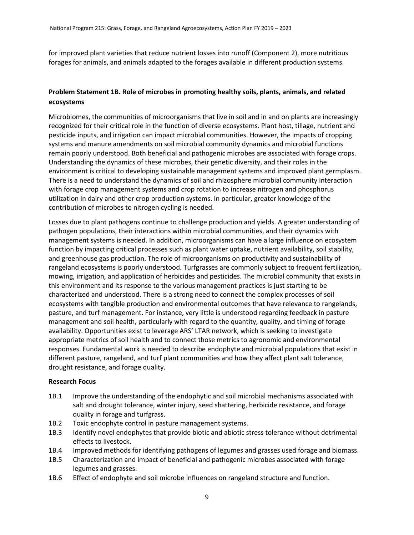for improved plant varieties that reduce nutrient losses into runoff (Component 2), more nutritious forages for animals, and animals adapted to the forages available in different production systems.

# **Problem Statement 1B. Role of microbes in promoting healthy soils, plants, animals, and related ecosystems**

Microbiomes, the communities of microorganisms that live in soil and in and on plants are increasingly recognized for their critical role in the function of diverse ecosystems. Plant host, tillage, nutrient and pesticide inputs, and irrigation can impact microbial communities. However, the impacts of cropping systems and manure amendments on soil microbial community dynamics and microbial functions remain poorly understood. Both beneficial and pathogenic microbes are associated with forage crops. Understanding the dynamics of these microbes, their genetic diversity, and their roles in the environment is critical to developing sustainable management systems and improved plant germplasm. There is a need to understand the dynamics of soil and rhizosphere microbial community interaction with forage crop management systems and crop rotation to increase nitrogen and phosphorus utilization in dairy and other crop production systems. In particular, greater knowledge of the contribution of microbes to nitrogen cycling is needed.

Losses due to plant pathogens continue to challenge production and yields. A greater understanding of pathogen populations, their interactions within microbial communities, and their dynamics with management systems is needed. In addition, microorganisms can have a large influence on ecosystem function by impacting critical processes such as plant water uptake, nutrient availability, soil stability, and greenhouse gas production. The role of microorganisms on productivity and sustainability of rangeland ecosystems is poorly understood. Turfgrasses are commonly subject to frequent fertilization, mowing, irrigation, and application of herbicides and pesticides. The microbial community that exists in this environment and its response to the various management practices is just starting to be characterized and understood. There is a strong need to connect the complex processes of soil ecosystems with tangible production and environmental outcomes that have relevance to rangelands, pasture, and turf management. For instance, very little is understood regarding feedback in pasture management and soil health, particularly with regard to the quantity, quality, and timing of forage availability. Opportunities exist to leverage ARS' LTAR network, which is seeking to investigate appropriate metrics of soil health and to connect those metrics to agronomic and environmental responses. Fundamental work is needed to describe endophyte and microbial populations that exist in different pasture, rangeland, and turf plant communities and how they affect plant salt tolerance, drought resistance, and forage quality.

#### **Research Focus**

- 1B.1 Improve the understanding of the endophytic and soil microbial mechanisms associated with salt and drought tolerance, winter injury, seed shattering, herbicide resistance, and forage quality in forage and turfgrass.
- 1B.2 Toxic endophyte control in pasture management systems.
- 1B.3 Identify novel endophytes that provide biotic and abiotic stress tolerance without detrimental effects to livestock.
- 1B.4 Improved methods for identifying pathogens of legumes and grasses used forage and biomass.
- 1B.5 Characterization and impact of beneficial and pathogenic microbes associated with forage legumes and grasses.
- 1B.6 Effect of endophyte and soil microbe influences on rangeland structure and function.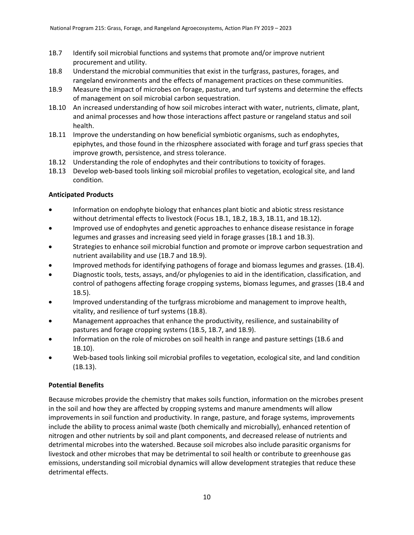- 1B.7 Identify soil microbial functions and systems that promote and/or improve nutrient procurement and utility.
- 1B.8 Understand the microbial communities that exist in the turfgrass, pastures, forages, and rangeland environments and the effects of management practices on these communities.
- 1B.9 Measure the impact of microbes on forage, pasture, and turf systems and determine the effects of management on soil microbial carbon sequestration.
- 1B.10 An increased understanding of how soil microbes interact with water, nutrients, climate, plant, and animal processes and how those interactions affect pasture or rangeland status and soil health.
- 1B.11 Improve the understanding on how beneficial symbiotic organisms, such as endophytes, epiphytes, and those found in the rhizosphere associated with forage and turf grass species that improve growth, persistence, and stress tolerance.
- 1B.12 Understanding the role of endophytes and their contributions to toxicity of forages.
- 1B.13 Develop web-based tools linking soil microbial profiles to vegetation, ecological site, and land condition.

# **Anticipated Products**

- Information on endophyte biology that enhances plant biotic and abiotic stress resistance without detrimental effects to livestock (Focus 1B.1, 1B.2, 1B.3, 1B.11, and 1B.12).
- Improved use of endophytes and genetic approaches to enhance disease resistance in forage legumes and grasses and increasing seed yield in forage grasses (1B.1 and 1B.3).
- Strategies to enhance soil microbial function and promote or improve carbon sequestration and nutrient availability and use (1B.7 and 1B.9).
- Improved methods for identifying pathogens of forage and biomass legumes and grasses. (1B.4).
- Diagnostic tools, tests, assays, and/or phylogenies to aid in the identification, classification, and control of pathogens affecting forage cropping systems, biomass legumes, and grasses (1B.4 and 1B.5).
- Improved understanding of the turfgrass microbiome and management to improve health, vitality, and resilience of turf systems (1B.8).
- Management approaches that enhance the productivity, resilience, and sustainability of pastures and forage cropping systems (1B.5, 1B.7, and 1B.9).
- Information on the role of microbes on soil health in range and pasture settings (1B.6 and 1B.10).
- Web-based tools linking soil microbial profiles to vegetation, ecological site, and land condition (1B.13).

# **Potential Benefits**

Because microbes provide the chemistry that makes soils function, information on the microbes present in the soil and how they are affected by cropping systems and manure amendments will allow improvements in soil function and productivity. In range, pasture, and forage systems, improvements include the ability to process animal waste (both chemically and microbially), enhanced retention of nitrogen and other nutrients by soil and plant components, and decreased release of nutrients and detrimental microbes into the watershed. Because soil microbes also include parasitic organisms for livestock and other microbes that may be detrimental to soil health or contribute to greenhouse gas emissions, understanding soil microbial dynamics will allow development strategies that reduce these detrimental effects.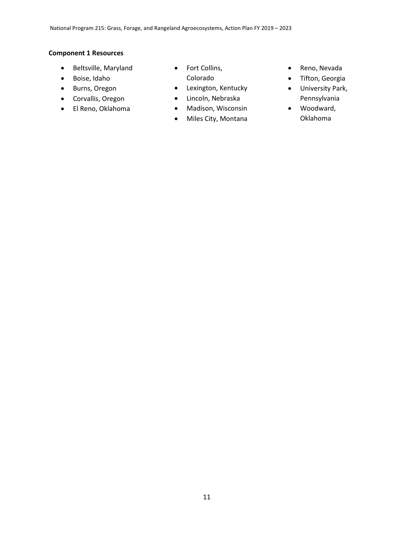### **Component 1 Resources**

- Beltsville, Maryland
- Boise, Idaho
- Burns, Oregon
- Corvallis, Oregon
- El Reno, Oklahoma
- Fort Collins, Colorado
- Lexington, Kentucky
- Lincoln, Nebraska
- Madison, Wisconsin
- Miles City, Montana
- Reno, Nevada
- Tifton, Georgia
- University Park, Pennsylvania
- Woodward, Oklahoma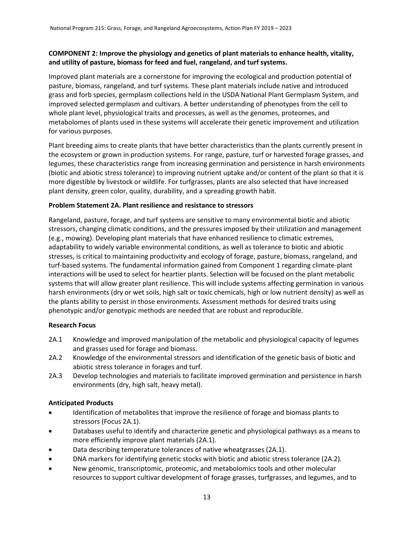# **COMPONENT 2: Improve the physiology and genetics of plant materials to enhance health, vitality, and utility of pasture, biomass for feed and fuel, rangeland, and turf systems.**

Improved plant materials are a cornerstone for improving the ecological and production potential of pasture, biomass, rangeland, and turf systems. These plant materials include native and introduced grass and forb species, germplasm collections held in the USDA National Plant Germplasm System, and improved selected germplasm and cultivars. A better understanding of phenotypes from the cell to whole plant level, physiological traits and processes, as well as the genomes, proteomes, and metabolomes of plants used in these systems will accelerate their genetic improvement and utilization for various purposes.

Plant breeding aims to create plants that have better characteristics than the plants currently present in the ecosystem or grown in production systems. For range, pasture, turf or harvested forage grasses, and legumes, these characteristics range from increasing germination and persistence in harsh environments (biotic and abiotic stress tolerance) to improving nutrient uptake and/or content of the plant so that it is more digestible by livestock or wildlife. For turfgrasses, plants are also selected that have increased plant density, green color, quality, durability, and a spreading growth habit.

# **Problem Statement 2A. Plant resilience and resistance to stressors**

Rangeland, pasture, forage, and turf systems are sensitive to many environmental biotic and abiotic stressors, changing climatic conditions, and the pressures imposed by their utilization and management (e.g., mowing). Developing plant materials that have enhanced resilience to climatic extremes, adaptability to widely variable environmental conditions, as well as tolerance to biotic and abiotic stresses, is critical to maintaining productivity and ecology of forage, pasture, biomass, rangeland, and turf-based systems. The fundamental information gained from Component 1 regarding climate-plant interactions will be used to select for heartier plants. Selection will be focused on the plant metabolic systems that will allow greater plant resilience. This will include systems affecting germination in various harsh environments (dry or wet soils, high salt or toxic chemicals, high or low nutrient density) as well as the plants ability to persist in those environments. Assessment methods for desired traits using phenotypic and/or genotypic methods are needed that are robust and reproducible.

# **Research Focus**

- 2A.1 Knowledge and improved manipulation of the metabolic and physiological capacity of legumes and grasses used for forage and biomass.
- 2A.2 Knowledge of the environmental stressors and identification of the genetic basis of biotic and abiotic stress tolerance in forages and turf.
- 2A.3 Develop technologies and materials to facilitate improved germination and persistence in harsh environments (dry, high salt, heavy metal).

# **Anticipated Products**

- Identification of metabolites that improve the resilience of forage and biomass plants to stressors (Focus 2A.1).
- Databases useful to identify and characterize genetic and physiological pathways as a means to more efficiently improve plant materials (2A.1).
- Data describing temperature tolerances of native wheatgrasses (2A.1).
- DNA markers for identifying genetic stocks with biotic and abiotic stress tolerance (2A.2).
- New genomic, transcriptomic, proteomic, and metabolomics tools and other molecular resources to support cultivar development of forage grasses, turfgrasses, and legumes, and to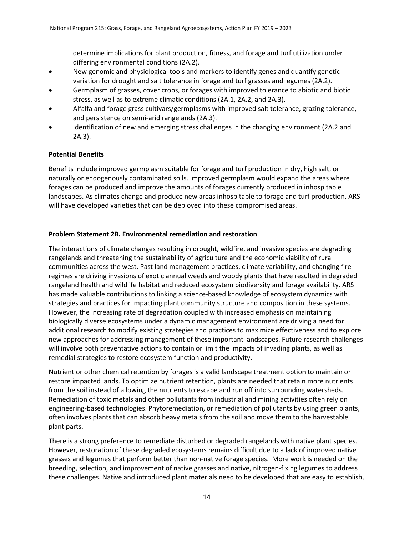determine implications for plant production, fitness, and forage and turf utilization under differing environmental conditions (2A.2).

- New genomic and physiological tools and markers to identify genes and quantify genetic variation for drought and salt tolerance in forage and turf grasses and legumes (2A.2).
- Germplasm of grasses, cover crops, or forages with improved tolerance to abiotic and biotic stress, as well as to extreme climatic conditions (2A.1, 2A.2, and 2A.3).
- Alfalfa and forage grass cultivars/germplasms with improved salt tolerance, grazing tolerance, and persistence on semi-arid rangelands (2A.3).
- Identification of new and emerging stress challenges in the changing environment (2A.2 and 2A.3).

### **Potential Benefits**

Benefits include improved germplasm suitable for forage and turf production in dry, high salt, or naturally or endogenously contaminated soils. Improved germplasm would expand the areas where forages can be produced and improve the amounts of forages currently produced in inhospitable landscapes. As climates change and produce new areas inhospitable to forage and turf production, ARS will have developed varieties that can be deployed into these compromised areas.

### **Problem Statement 2B. Environmental remediation and restoration**

The interactions of climate changes resulting in drought, wildfire, and invasive species are degrading rangelands and threatening the sustainability of agriculture and the economic viability of rural communities across the west. Past land management practices, climate variability, and changing fire regimes are driving invasions of exotic annual weeds and woody plants that have resulted in degraded rangeland health and wildlife habitat and reduced ecosystem biodiversity and forage availability. ARS has made valuable contributions to linking a science-based knowledge of ecosystem dynamics with strategies and practices for impacting plant community structure and composition in these systems. However, the increasing rate of degradation coupled with increased emphasis on maintaining biologically diverse ecosystems under a dynamic management environment are driving a need for additional research to modify existing strategies and practices to maximize effectiveness and to explore new approaches for addressing management of these important landscapes. Future research challenges will involve both preventative actions to contain or limit the impacts of invading plants, as well as remedial strategies to restore ecosystem function and productivity.

Nutrient or other chemical retention by forages is a valid landscape treatment option to maintain or restore impacted lands. To optimize nutrient retention, plants are needed that retain more nutrients from the soil instead of allowing the nutrients to escape and run off into surrounding watersheds. Remediation of toxic metals and other pollutants from industrial and mining activities often rely on engineering-based technologies. Phytoremediation, or remediation of pollutants by using green plants, often involves plants that can absorb heavy metals from the soil and move them to the harvestable plant parts.

There is a strong preference to remediate disturbed or degraded rangelands with native plant species. However, restoration of these degraded ecosystems remains difficult due to a lack of improved native grasses and legumes that perform better than non-native forage species. More work is needed on the breeding, selection, and improvement of native grasses and native, nitrogen-fixing legumes to address these challenges. Native and introduced plant materials need to be developed that are easy to establish,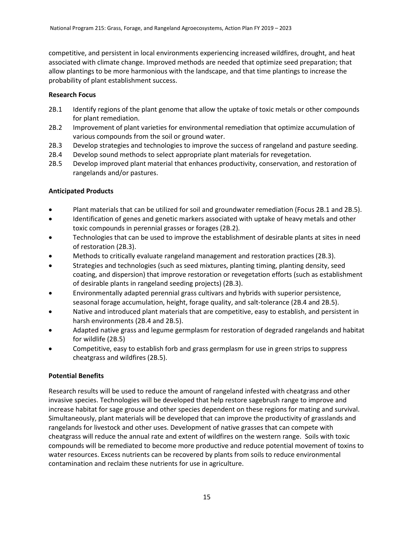competitive, and persistent in local environments experiencing increased wildfires, drought, and heat associated with climate change. Improved methods are needed that optimize seed preparation; that allow plantings to be more harmonious with the landscape, and that time plantings to increase the probability of plant establishment success.

## **Research Focus**

- 2B.1 Identify regions of the plant genome that allow the uptake of toxic metals or other compounds for plant remediation.
- 2B.2 Improvement of plant varieties for environmental remediation that optimize accumulation of various compounds from the soil or ground water.
- 2B.3 Develop strategies and technologies to improve the success of rangeland and pasture seeding.
- 2B.4 Develop sound methods to select appropriate plant materials for revegetation.
- 2B.5 Develop improved plant material that enhances productivity, conservation, and restoration of rangelands and/or pastures.

# **Anticipated Products**

- Plant materials that can be utilized for soil and groundwater remediation (Focus 2B.1 and 2B.5).
- Identification of genes and genetic markers associated with uptake of heavy metals and other toxic compounds in perennial grasses or forages (2B.2).
- Technologies that can be used to improve the establishment of desirable plants at sites in need of restoration (2B.3).
- Methods to critically evaluate rangeland management and restoration practices (2B.3).
- Strategies and technologies (such as seed mixtures, planting timing, planting density, seed coating, and dispersion) that improve restoration or revegetation efforts (such as establishment of desirable plants in rangeland seeding projects) (2B.3).
- Environmentally adapted perennial grass cultivars and hybrids with superior persistence, seasonal forage accumulation, height, forage quality, and salt-tolerance (2B.4 and 2B.5).
- Native and introduced plant materials that are competitive, easy to establish, and persistent in harsh environments (2B.4 and 2B.5).
- Adapted native grass and legume germplasm for restoration of degraded rangelands and habitat for wildlife (2B.5)
- Competitive, easy to establish forb and grass germplasm for use in green strips to suppress cheatgrass and wildfires (2B.5).

# **Potential Benefits**

Research results will be used to reduce the amount of rangeland infested with cheatgrass and other invasive species. Technologies will be developed that help restore sagebrush range to improve and increase habitat for sage grouse and other species dependent on these regions for mating and survival. Simultaneously, plant materials will be developed that can improve the productivity of grasslands and rangelands for livestock and other uses. Development of native grasses that can compete with cheatgrass will reduce the annual rate and extent of wildfires on the western range. Soils with toxic compounds will be remediated to become more productive and reduce potential movement of toxins to water resources. Excess nutrients can be recovered by plants from soils to reduce environmental contamination and reclaim these nutrients for use in agriculture.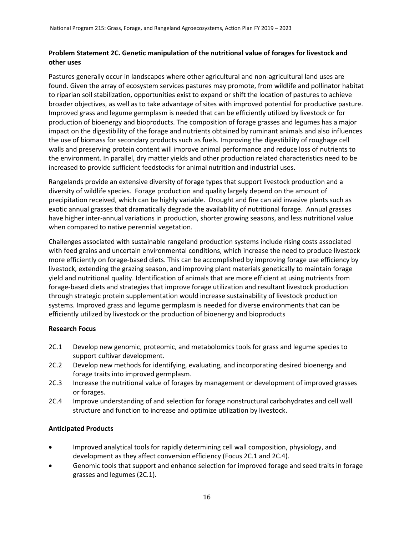# **Problem Statement 2C. Genetic manipulation of the nutritional value of forages for livestock and other uses**

Pastures generally occur in landscapes where other agricultural and non-agricultural land uses are found. Given the array of ecosystem services pastures may promote, from wildlife and pollinator habitat to riparian soil stabilization, opportunities exist to expand or shift the location of pastures to achieve broader objectives, as well as to take advantage of sites with improved potential for productive pasture. Improved grass and legume germplasm is needed that can be efficiently utilized by livestock or for production of bioenergy and bioproducts. The composition of forage grasses and legumes has a major impact on the digestibility of the forage and nutrients obtained by ruminant animals and also influences the use of biomass for secondary products such as fuels. Improving the digestibility of roughage cell walls and preserving protein content will improve animal performance and reduce loss of nutrients to the environment. In parallel, dry matter yields and other production related characteristics need to be increased to provide sufficient feedstocks for animal nutrition and industrial uses.

Rangelands provide an extensive diversity of forage types that support livestock production and a diversity of wildlife species. Forage production and quality largely depend on the amount of precipitation received, which can be highly variable. Drought and fire can aid invasive plants such as exotic annual grasses that dramatically degrade the availability of nutritional forage. Annual grasses have higher inter-annual variations in production, shorter growing seasons, and less nutritional value when compared to native perennial vegetation.

Challenges associated with sustainable rangeland production systems include rising costs associated with feed grains and uncertain environmental conditions, which increase the need to produce livestock more efficiently on forage-based diets. This can be accomplished by improving forage use efficiency by livestock, extending the grazing season, and improving plant materials genetically to maintain forage yield and nutritional quality. Identification of animals that are more efficient at using nutrients from forage-based diets and strategies that improve forage utilization and resultant livestock production through strategic protein supplementation would increase sustainability of livestock production systems. Improved grass and legume germplasm is needed for diverse environments that can be efficiently utilized by livestock or the production of bioenergy and bioproducts

# **Research Focus**

- 2C.1 Develop new genomic, proteomic, and metabolomics tools for grass and legume species to support cultivar development.
- 2C.2 Develop new methods for identifying, evaluating, and incorporating desired bioenergy and forage traits into improved germplasm.
- 2C.3 Increase the nutritional value of forages by management or development of improved grasses or forages.
- 2C.4 Improve understanding of and selection for forage nonstructural carbohydrates and cell wall structure and function to increase and optimize utilization by livestock.

# **Anticipated Products**

- Improved analytical tools for rapidly determining cell wall composition, physiology, and development as they affect conversion efficiency (Focus 2C.1 and 2C.4).
- Genomic tools that support and enhance selection for improved forage and seed traits in forage grasses and legumes (2C.1).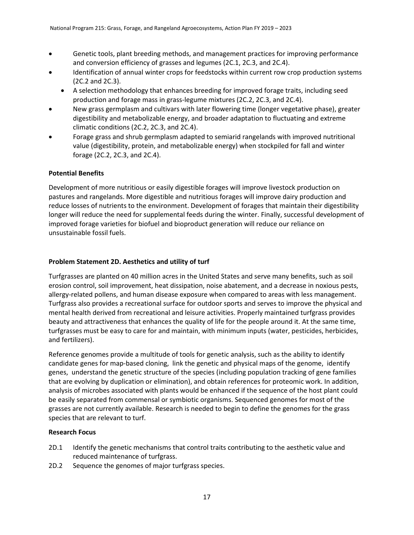- Genetic tools, plant breeding methods, and management practices for improving performance and conversion efficiency of grasses and legumes (2C.1, 2C.3, and 2C.4).
- Identification of annual winter crops for feedstocks within current row crop production systems (2C.2 and 2C.3).
	- A selection methodology that enhances breeding for improved forage traits, including seed production and forage mass in grass-legume mixtures (2C.2, 2C.3, and 2C.4).
- New grass germplasm and cultivars with later flowering time (longer vegetative phase), greater digestibility and metabolizable energy, and broader adaptation to fluctuating and extreme climatic conditions (2C.2, 2C.3, and 2C.4).
- Forage grass and shrub germplasm adapted to semiarid rangelands with improved nutritional value (digestibility, protein, and metabolizable energy) when stockpiled for fall and winter forage (2C.2, 2C.3, and 2C.4).

# **Potential Benefits**

Development of more nutritious or easily digestible forages will improve livestock production on pastures and rangelands. More digestible and nutritious forages will improve dairy production and reduce losses of nutrients to the environment. Development of forages that maintain their digestibility longer will reduce the need for supplemental feeds during the winter. Finally, successful development of improved forage varieties for biofuel and bioproduct generation will reduce our reliance on unsustainable fossil fuels.

# **Problem Statement 2D. Aesthetics and utility of turf**

Turfgrasses are planted on 40 million acres in the United States and serve many benefits, such as soil erosion control, soil improvement, heat dissipation, noise abatement, and a decrease in noxious pests, allergy-related pollens, and human disease exposure when compared to areas with less management. Turfgrass also provides a recreational surface for outdoor sports and serves to improve the physical and mental health derived from recreational and leisure activities. Properly maintained turfgrass provides beauty and attractiveness that enhances the quality of life for the people around it. At the same time, turfgrasses must be easy to care for and maintain, with minimum inputs (water, pesticides, herbicides, and fertilizers).

Reference genomes provide a multitude of tools for genetic analysis, such as the ability to identify candidate genes for map-based cloning, link the genetic and physical maps of the genome, identify genes, understand the genetic structure of the species (including population tracking of gene families that are evolving by duplication or elimination), and obtain references for proteomic work. In addition, analysis of microbes associated with plants would be enhanced if the sequence of the host plant could be easily separated from commensal or symbiotic organisms. Sequenced genomes for most of the grasses are not currently available. Research is needed to begin to define the genomes for the grass species that are relevant to turf.

# **Research Focus**

- 2D.1 Identify the genetic mechanisms that control traits contributing to the aesthetic value and reduced maintenance of turfgrass.
- 2D.2 Sequence the genomes of major turfgrass species.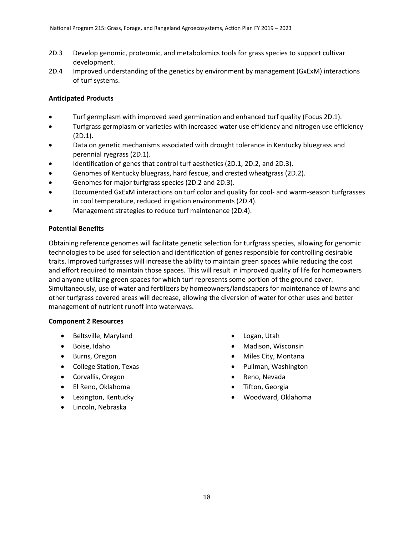- 2D.3 Develop genomic, proteomic, and metabolomics tools for grass species to support cultivar development.
- 2D.4 Improved understanding of the genetics by environment by management (GxExM) interactions of turf systems.

# **Anticipated Products**

- Turf germplasm with improved seed germination and enhanced turf quality (Focus 2D.1).
- Turfgrass germplasm or varieties with increased water use efficiency and nitrogen use efficiency (2D.1).
- Data on genetic mechanisms associated with drought tolerance in Kentucky bluegrass and perennial ryegrass (2D.1).
- Identification of genes that control turf aesthetics (2D.1, 2D.2, and 2D.3).
- Genomes of Kentucky bluegrass, hard fescue, and crested wheatgrass (2D.2).
- Genomes for major turfgrass species (2D.2 and 2D.3).
- Documented GxExM interactions on turf color and quality for cool- and warm-season turfgrasses in cool temperature, reduced irrigation environments (2D.4).
- Management strategies to reduce turf maintenance (2D.4).

# **Potential Benefits**

Obtaining reference genomes will facilitate genetic selection for turfgrass species, allowing for genomic technologies to be used for selection and identification of genes responsible for controlling desirable traits. Improved turfgrasses will increase the ability to maintain green spaces while reducing the cost and effort required to maintain those spaces. This will result in improved quality of life for homeowners and anyone utilizing green spaces for which turf represents some portion of the ground cover. Simultaneously, use of water and fertilizers by homeowners/landscapers for maintenance of lawns and other turfgrass covered areas will decrease, allowing the diversion of water for other uses and better management of nutrient runoff into waterways.

# **Component 2 Resources**

- Beltsville, Maryland
- Boise, Idaho
- Burns, Oregon
- College Station, Texas
- Corvallis, Oregon
- El Reno, Oklahoma
- Lexington, Kentucky
- Lincoln, Nebraska
- Logan, Utah
- Madison, Wisconsin
- Miles City, Montana
- Pullman, Washington
- Reno, Nevada
- Tifton, Georgia
- Woodward, Oklahoma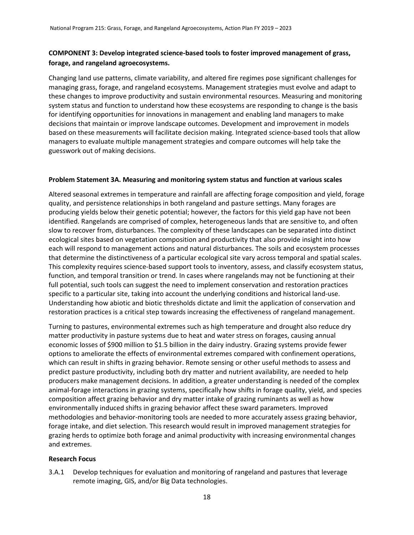# **COMPONENT 3: Develop integrated science-based tools to foster improved management of grass, forage, and rangeland agroecosystems.**

Changing land use patterns, climate variability, and altered fire regimes pose significant challenges for managing grass, forage, and rangeland ecosystems. Management strategies must evolve and adapt to these changes to improve productivity and sustain environmental resources. Measuring and monitoring system status and function to understand how these ecosystems are responding to change is the basis for identifying opportunities for innovations in management and enabling land managers to make decisions that maintain or improve landscape outcomes. Development and improvement in models based on these measurements will facilitate decision making. Integrated science-based tools that allow managers to evaluate multiple management strategies and compare outcomes will help take the guesswork out of making decisions.

#### **Problem Statement 3A. Measuring and monitoring system status and function at various scales**

Altered seasonal extremes in temperature and rainfall are affecting forage composition and yield, forage quality, and persistence relationships in both rangeland and pasture settings. Many forages are producing yields below their genetic potential; however, the factors for this yield gap have not been identified. Rangelands are comprised of complex, heterogeneous lands that are sensitive to, and often slow to recover from, disturbances. The complexity of these landscapes can be separated into distinct ecological sites based on vegetation composition and productivity that also provide insight into how each will respond to management actions and natural disturbances. The soils and ecosystem processes that determine the distinctiveness of a particular ecological site vary across temporal and spatial scales. This complexity requires science-based support tools to inventory, assess, and classify ecosystem status, function, and temporal transition or trend. In cases where rangelands may not be functioning at their full potential, such tools can suggest the need to implement conservation and restoration practices specific to a particular site, taking into account the underlying conditions and historical land-use. Understanding how abiotic and biotic thresholds dictate and limit the application of conservation and restoration practices is a critical step towards increasing the effectiveness of rangeland management.

Turning to pastures, environmental extremes such as high temperature and drought also reduce dry matter productivity in pasture systems due to heat and water stress on forages, causing annual economic losses of \$900 million to \$1.5 billion in the dairy industry. Grazing systems provide fewer options to ameliorate the effects of environmental extremes compared with confinement operations, which can result in shifts in grazing behavior. Remote sensing or other useful methods to assess and predict pasture productivity, including both dry matter and nutrient availability, are needed to help producers make management decisions. In addition, a greater understanding is needed of the complex animal-forage interactions in grazing systems, specifically how shifts in forage quality, yield, and species composition affect grazing behavior and dry matter intake of grazing ruminants as well as how environmentally induced shifts in grazing behavior affect these sward parameters. Improved methodologies and behavior-monitoring tools are needed to more accurately assess grazing behavior, forage intake, and diet selection. This research would result in improved management strategies for grazing herds to optimize both forage and animal productivity with increasing environmental changes and extremes.

#### **Research Focus**

3.A.1 Develop techniques for evaluation and monitoring of rangeland and pastures that leverage remote imaging, GIS, and/or Big Data technologies.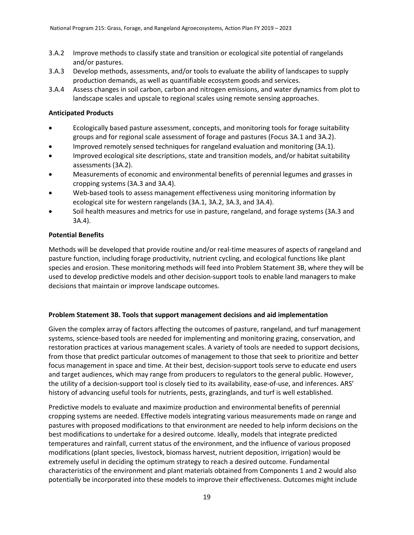- 3.A.2 Improve methods to classify state and transition or ecological site potential of rangelands and/or pastures.
- 3.A.3 Develop methods, assessments, and/or tools to evaluate the ability of landscapes to supply production demands, as well as quantifiable ecosystem goods and services.
- 3.A.4 Assess changes in soil carbon, carbon and nitrogen emissions, and water dynamics from plot to landscape scales and upscale to regional scales using remote sensing approaches.

## **Anticipated Products**

- Ecologically based pasture assessment, concepts, and monitoring tools for forage suitability groups and for regional scale assessment of forage and pastures (Focus 3A.1 and 3A.2).
- Improved remotely sensed techniques for rangeland evaluation and monitoring (3A.1).
- Improved ecological site descriptions, state and transition models, and/or habitat suitability assessments (3A.2).
- Measurements of economic and environmental benefits of perennial legumes and grasses in cropping systems (3A.3 and 3A.4).
- Web-based tools to assess management effectiveness using monitoring information by ecological site for western rangelands (3A.1, 3A.2, 3A.3, and 3A.4).
- Soil health measures and metrics for use in pasture, rangeland, and forage systems (3A.3 and 3A.4).

### **Potential Benefits**

Methods will be developed that provide routine and/or real-time measures of aspects of rangeland and pasture function, including forage productivity, nutrient cycling, and ecological functions like plant species and erosion. These monitoring methods will feed into Problem Statement 3B, where they will be used to develop predictive models and other decision-support tools to enable land managers to make decisions that maintain or improve landscape outcomes.

# **Problem Statement 3B. Tools that support management decisions and aid implementation**

Given the complex array of factors affecting the outcomes of pasture, rangeland, and turf management systems, science-based tools are needed for implementing and monitoring grazing, conservation, and restoration practices at various management scales. A variety of tools are needed to support decisions, from those that predict particular outcomes of management to those that seek to prioritize and better focus management in space and time. At their best, decision-support tools serve to educate end users and target audiences, which may range from producers to regulators to the general public. However, the utility of a decision-support tool is closely tied to its availability, ease-of-use, and inferences. ARS' history of advancing useful tools for nutrients, pests, grazinglands, and turf is well established.

Predictive models to evaluate and maximize production and environmental benefits of perennial cropping systems are needed. Effective models integrating various measurements made on range and pastures with proposed modifications to that environment are needed to help inform decisions on the best modifications to undertake for a desired outcome. Ideally, models that integrate predicted temperatures and rainfall, current status of the environment, and the influence of various proposed modifications (plant species, livestock, biomass harvest, nutrient deposition, irrigation) would be extremely useful in deciding the optimum strategy to reach a desired outcome. Fundamental characteristics of the environment and plant materials obtained from Components 1 and 2 would also potentially be incorporated into these models to improve their effectiveness. Outcomes might include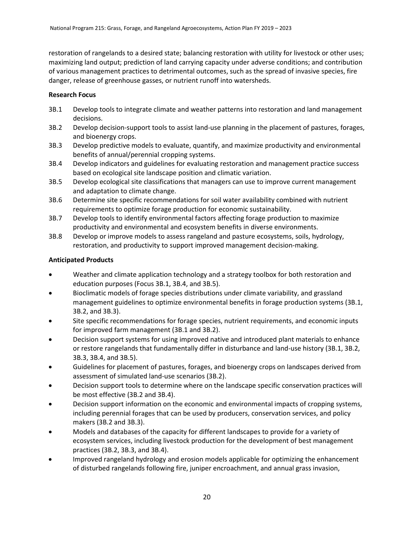restoration of rangelands to a desired state; balancing restoration with utility for livestock or other uses; maximizing land output; prediction of land carrying capacity under adverse conditions; and contribution of various management practices to detrimental outcomes, such as the spread of invasive species, fire danger, release of greenhouse gasses, or nutrient runoff into watersheds.

# **Research Focus**

- 3B.1 Develop tools to integrate climate and weather patterns into restoration and land management decisions.
- 3B.2 Develop decision-support tools to assist land-use planning in the placement of pastures, forages, and bioenergy crops.
- 3B.3 Develop predictive models to evaluate, quantify, and maximize productivity and environmental benefits of annual/perennial cropping systems.
- 3B.4 Develop indicators and guidelines for evaluating restoration and management practice success based on ecological site landscape position and climatic variation.
- 3B.5 Develop ecological site classifications that managers can use to improve current management and adaptation to climate change.
- 3B.6 Determine site specific recommendations for soil water availability combined with nutrient requirements to optimize forage production for economic sustainability.
- 3B.7 Develop tools to identify environmental factors affecting forage production to maximize productivity and environmental and ecosystem benefits in diverse environments.
- 3B.8 Develop or improve models to assess rangeland and pasture ecosystems, soils, hydrology, restoration, and productivity to support improved management decision-making.

# **Anticipated Products**

- Weather and climate application technology and a strategy toolbox for both restoration and education purposes (Focus 3B.1, 3B.4, and 3B.5).
- Bioclimatic models of forage species distributions under climate variability, and grassland management guidelines to optimize environmental benefits in forage production systems (3B.1, 3B.2, and 3B.3).
- Site specific recommendations for forage species, nutrient requirements, and economic inputs for improved farm management (3B.1 and 3B.2).
- Decision support systems for using improved native and introduced plant materials to enhance or restore rangelands that fundamentally differ in disturbance and land-use history (3B.1, 3B.2, 3B.3, 3B.4, and 3B.5).
- Guidelines for placement of pastures, forages, and bioenergy crops on landscapes derived from assessment of simulated land-use scenarios (3B.2).
- Decision support tools to determine where on the landscape specific conservation practices will be most effective (3B.2 and 3B.4).
- Decision support information on the economic and environmental impacts of cropping systems, including perennial forages that can be used by producers, conservation services, and policy makers (3B.2 and 3B.3).
- Models and databases of the capacity for different landscapes to provide for a variety of ecosystem services, including livestock production for the development of best management practices (3B.2, 3B.3, and 3B.4).
- Improved rangeland hydrology and erosion models applicable for optimizing the enhancement of disturbed rangelands following fire, juniper encroachment, and annual grass invasion,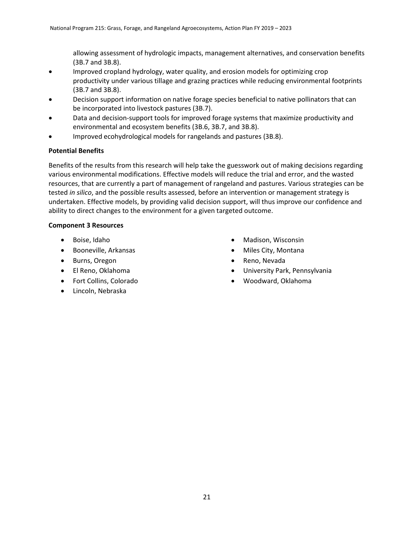allowing assessment of hydrologic impacts, management alternatives, and conservation benefits (3B.7 and 3B.8).

- Improved cropland hydrology, water quality, and erosion models for optimizing crop productivity under various tillage and grazing practices while reducing environmental footprints (3B.7 and 3B.8).
- Decision support information on native forage species beneficial to native pollinators that can be incorporated into livestock pastures (3B.7).
- Data and decision-support tools for improved forage systems that maximize productivity and environmental and ecosystem benefits (3B.6, 3B.7, and 3B.8).
- Improved ecohydrological models for rangelands and pastures (3B.8).

### **Potential Benefits**

Benefits of the results from this research will help take the guesswork out of making decisions regarding various environmental modifications. Effective models will reduce the trial and error, and the wasted resources, that are currently a part of management of rangeland and pastures. Various strategies can be tested *in silico*, and the possible results assessed, before an intervention or management strategy is undertaken. Effective models, by providing valid decision support, will thus improve our confidence and ability to direct changes to the environment for a given targeted outcome.

### **Component 3 Resources**

- Boise, Idaho
- Booneville, Arkansas
- Burns, Oregon
- El Reno, Oklahoma
- Fort Collins, Colorado
- Lincoln, Nebraska
- Madison, Wisconsin
- Miles City, Montana
- Reno, Nevada
- University Park, Pennsylvania
- Woodward, Oklahoma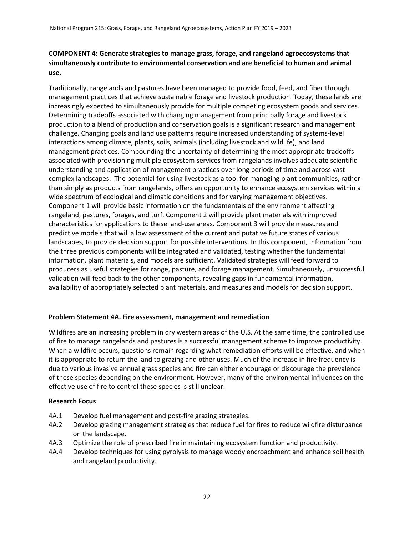# **COMPONENT 4: Generate strategies to manage grass, forage, and rangeland agroecosystems that simultaneously contribute to environmental conservation and are beneficial to human and animal use.**

Traditionally, rangelands and pastures have been managed to provide food, feed, and fiber through management practices that achieve sustainable forage and livestock production. Today, these lands are increasingly expected to simultaneously provide for multiple competing ecosystem goods and services. Determining tradeoffs associated with changing management from principally forage and livestock production to a blend of production and conservation goals is a significant research and management challenge. Changing goals and land use patterns require increased understanding of systems-level interactions among climate, plants, soils, animals (including livestock and wildlife), and land management practices. Compounding the uncertainty of determining the most appropriate tradeoffs associated with provisioning multiple ecosystem services from rangelands involves adequate scientific understanding and application of management practices over long periods of time and across vast complex landscapes. The potential for using livestock as a tool for managing plant communities, rather than simply as products from rangelands, offers an opportunity to enhance ecosystem services within a wide spectrum of ecological and climatic conditions and for varying management objectives. Component 1 will provide basic information on the fundamentals of the environment affecting rangeland, pastures, forages, and turf. Component 2 will provide plant materials with improved characteristics for applications to these land-use areas. Component 3 will provide measures and predictive models that will allow assessment of the current and putative future states of various landscapes, to provide decision support for possible interventions. In this component, information from the three previous components will be integrated and validated, testing whether the fundamental information, plant materials, and models are sufficient. Validated strategies will feed forward to producers as useful strategies for range, pasture, and forage management. Simultaneously, unsuccessful validation will feed back to the other components, revealing gaps in fundamental information, availability of appropriately selected plant materials, and measures and models for decision support.

# **Problem Statement 4A. Fire assessment, management and remediation**

Wildfires are an increasing problem in dry western areas of the U.S. At the same time, the controlled use of fire to manage rangelands and pastures is a successful management scheme to improve productivity. When a wildfire occurs, questions remain regarding what remediation efforts will be effective, and when it is appropriate to return the land to grazing and other uses. Much of the increase in fire frequency is due to various invasive annual grass species and fire can either encourage or discourage the prevalence of these species depending on the environment. However, many of the environmental influences on the effective use of fire to control these species is still unclear.

# **Research Focus**

- 4A.1 Develop fuel management and post-fire grazing strategies.
- 4A.2 Develop grazing management strategies that reduce fuel for fires to reduce wildfire disturbance on the landscape.
- 4A.3 Optimize the role of prescribed fire in maintaining ecosystem function and productivity.
- 4A.4 Develop techniques for using pyrolysis to manage woody encroachment and enhance soil health and rangeland productivity.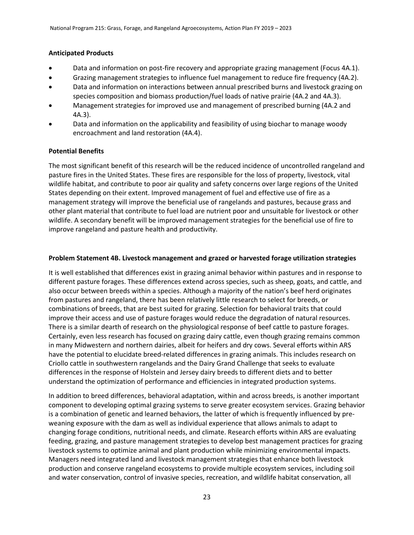# **Anticipated Products**

- Data and information on post-fire recovery and appropriate grazing management (Focus 4A.1).
- Grazing management strategies to influence fuel management to reduce fire frequency (4A.2).
- Data and information on interactions between annual prescribed burns and livestock grazing on species composition and biomass production/fuel loads of native prairie (4A.2 and 4A.3).
- Management strategies for improved use and management of prescribed burning (4A.2 and 4A.3).
- Data and information on the applicability and feasibility of using biochar to manage woody encroachment and land restoration (4A.4).

# **Potential Benefits**

The most significant benefit of this research will be the reduced incidence of uncontrolled rangeland and pasture fires in the United States. These fires are responsible for the loss of property, livestock, vital wildlife habitat, and contribute to poor air quality and safety concerns over large regions of the United States depending on their extent. Improved management of fuel and effective use of fire as a management strategy will improve the beneficial use of rangelands and pastures, because grass and other plant material that contribute to fuel load are nutrient poor and unsuitable for livestock or other wildlife. A secondary benefit will be improved management strategies for the beneficial use of fire to improve rangeland and pasture health and productivity.

### **Problem Statement 4B. Livestock management and grazed or harvested forage utilization strategies**

It is well established that differences exist in grazing animal behavior within pastures and in response to different pasture forages. These differences extend across species, such as sheep, goats, and cattle, and also occur between breeds within a species. Although a majority of the nation's beef herd originates from pastures and rangeland, there has been relatively little research to select for breeds, or combinations of breeds, that are best suited for grazing. Selection for behavioral traits that could improve their access and use of pasture forages would reduce the degradation of natural resources. There is a similar dearth of research on the physiological response of beef cattle to pasture forages. Certainly, even less research has focused on grazing dairy cattle, even though grazing remains common in many Midwestern and northern dairies, albeit for heifers and dry cows. Several efforts within ARS have the potential to elucidate breed-related differences in grazing animals. This includes research on Criollo cattle in southwestern rangelands and the Dairy Grand Challenge that seeks to evaluate differences in the response of Holstein and Jersey dairy breeds to different diets and to better understand the optimization of performance and efficiencies in integrated production systems.

In addition to breed differences, behavioral adaptation, within and across breeds, is another important component to developing optimal grazing systems to serve greater ecosystem services. Grazing behavior is a combination of genetic and learned behaviors, the latter of which is frequently influenced by preweaning exposure with the dam as well as individual experience that allows animals to adapt to changing forage conditions, nutritional needs, and climate. Research efforts within ARS are evaluating feeding, grazing, and pasture management strategies to develop best management practices for grazing livestock systems to optimize animal and plant production while minimizing environmental impacts. Managers need integrated land and livestock management strategies that enhance both livestock production and conserve rangeland ecosystems to provide multiple ecosystem services, including soil and water conservation, control of invasive species, recreation, and wildlife habitat conservation, all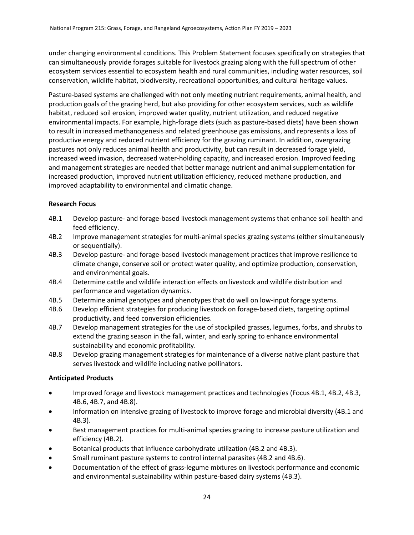under changing environmental conditions. This Problem Statement focuses specifically on strategies that can simultaneously provide forages suitable for livestock grazing along with the full spectrum of other ecosystem services essential to ecosystem health and rural communities, including water resources, soil conservation, wildlife habitat, biodiversity, recreational opportunities, and cultural heritage values.

Pasture-based systems are challenged with not only meeting nutrient requirements, animal health, and production goals of the grazing herd, but also providing for other ecosystem services, such as wildlife habitat, reduced soil erosion, improved water quality, nutrient utilization, and reduced negative environmental impacts. For example, high-forage diets (such as pasture-based diets) have been shown to result in increased methanogenesis and related greenhouse gas emissions, and represents a loss of productive energy and reduced nutrient efficiency for the grazing ruminant. In addition, overgrazing pastures not only reduces animal health and productivity, but can result in decreased forage yield, increased weed invasion, decreased water-holding capacity, and increased erosion. Improved feeding and management strategies are needed that better manage nutrient and animal supplementation for increased production, improved nutrient utilization efficiency, reduced methane production, and improved adaptability to environmental and climatic change.

# **Research Focus**

- 4B.1 Develop pasture- and forage-based livestock management systems that enhance soil health and feed efficiency.
- 4B.2 Improve management strategies for multi-animal species grazing systems (either simultaneously or sequentially).
- 4B.3 Develop pasture- and forage-based livestock management practices that improve resilience to climate change, conserve soil or protect water quality, and optimize production, conservation, and environmental goals.
- 4B.4 Determine cattle and wildlife interaction effects on livestock and wildlife distribution and performance and vegetation dynamics.
- 4B.5 Determine animal genotypes and phenotypes that do well on low-input forage systems.
- 4B.6 Develop efficient strategies for producing livestock on forage-based diets, targeting optimal productivity, and feed conversion efficiencies.
- 4B.7 Develop management strategies for the use of stockpiled grasses, legumes, forbs, and shrubs to extend the grazing season in the fall, winter, and early spring to enhance environmental sustainability and economic profitability.
- 4B.8 Develop grazing management strategies for maintenance of a diverse native plant pasture that serves livestock and wildlife including native pollinators.

#### **Anticipated Products**

- Improved forage and livestock management practices and technologies (Focus 4B.1, 4B.2, 4B.3, 4B.6, 4B.7, and 4B.8).
- Information on intensive grazing of livestock to improve forage and microbial diversity (4B.1 and 4B.3).
- Best management practices for multi-animal species grazing to increase pasture utilization and efficiency (4B.2).
- Botanical products that influence carbohydrate utilization (4B.2 and 4B.3).
- Small ruminant pasture systems to control internal parasites (4B.2 and 4B.6).
- Documentation of the effect of grass-legume mixtures on livestock performance and economic and environmental sustainability within pasture-based dairy systems (4B.3).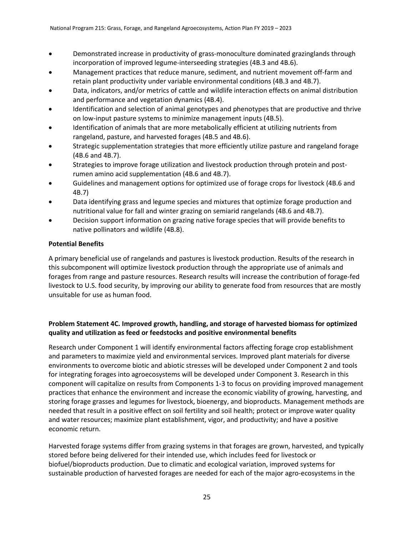- Demonstrated increase in productivity of grass-monoculture dominated grazinglands through incorporation of improved legume-interseeding strategies (4B.3 and 4B.6).
- Management practices that reduce manure, sediment, and nutrient movement off-farm and retain plant productivity under variable environmental conditions (4B.3 and 4B.7).
- Data, indicators, and/or metrics of cattle and wildlife interaction effects on animal distribution and performance and vegetation dynamics (4B.4).
- Identification and selection of animal genotypes and phenotypes that are productive and thrive on low-input pasture systems to minimize management inputs (4B.5).
- Identification of animals that are more metabolically efficient at utilizing nutrients from rangeland, pasture, and harvested forages (4B.5 and 4B.6).
- Strategic supplementation strategies that more efficiently utilize pasture and rangeland forage (4B.6 and 4B.7).
- Strategies to improve forage utilization and livestock production through protein and postrumen amino acid supplementation (4B.6 and 4B.7).
- Guidelines and management options for optimized use of forage crops for livestock (4B.6 and 4B.7)
- Data identifying grass and legume species and mixtures that optimize forage production and nutritional value for fall and winter grazing on semiarid rangelands (4B.6 and 4B.7).
- Decision support information on grazing native forage species that will provide benefits to native pollinators and wildlife (4B.8).

# **Potential Benefits**

A primary beneficial use of rangelands and pastures is livestock production. Results of the research in this subcomponent will optimize livestock production through the appropriate use of animals and forages from range and pasture resources. Research results will increase the contribution of forage-fed livestock to U.S. food security, by improving our ability to generate food from resources that are mostly unsuitable for use as human food.

# **Problem Statement 4C. Improved growth, handling, and storage of harvested biomass for optimized quality and utilization as feed or feedstocks and positive environmental benefits**

Research under Component 1 will identify environmental factors affecting forage crop establishment and parameters to maximize yield and environmental services. Improved plant materials for diverse environments to overcome biotic and abiotic stresses will be developed under Component 2 and tools for integrating forages into agroecosystems will be developed under Component 3. Research in this component will capitalize on results from Components 1-3 to focus on providing improved management practices that enhance the environment and increase the economic viability of growing, harvesting, and storing forage grasses and legumes for livestock, bioenergy, and bioproducts. Management methods are needed that result in a positive effect on soil fertility and soil health; protect or improve water quality and water resources; maximize plant establishment, vigor, and productivity; and have a positive economic return.

Harvested forage systems differ from grazing systems in that forages are grown, harvested, and typically stored before being delivered for their intended use, which includes feed for livestock or biofuel/bioproducts production. Due to climatic and ecological variation, improved systems for sustainable production of harvested forages are needed for each of the major agro-ecosystems in the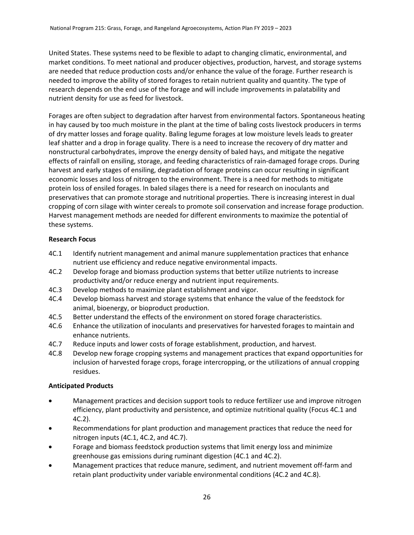United States. These systems need to be flexible to adapt to changing climatic, environmental, and market conditions. To meet national and producer objectives, production, harvest, and storage systems are needed that reduce production costs and/or enhance the value of the forage. Further research is needed to improve the ability of stored forages to retain nutrient quality and quantity. The type of research depends on the end use of the forage and will include improvements in palatability and nutrient density for use as feed for livestock.

Forages are often subject to degradation after harvest from environmental factors. Spontaneous heating in hay caused by too much moisture in the plant at the time of baling costs livestock producers in terms of dry matter losses and forage quality. Baling legume forages at low moisture levels leads to greater leaf shatter and a drop in forage quality. There is a need to increase the recovery of dry matter and nonstructural carbohydrates, improve the energy density of baled hays, and mitigate the negative effects of rainfall on ensiling, storage, and feeding characteristics of rain-damaged forage crops. During harvest and early stages of ensiling, degradation of forage proteins can occur resulting in significant economic losses and loss of nitrogen to the environment. There is a need for methods to mitigate protein loss of ensiled forages. In baled silages there is a need for research on inoculants and preservatives that can promote storage and nutritional properties. There is increasing interest in dual cropping of corn silage with winter cereals to promote soil conservation and increase forage production. Harvest management methods are needed for different environments to maximize the potential of these systems.

# **Research Focus**

- 4C.1 Identify nutrient management and animal manure supplementation practices that enhance nutrient use efficiency and reduce negative environmental impacts.
- 4C.2 Develop forage and biomass production systems that better utilize nutrients to increase productivity and/or reduce energy and nutrient input requirements.
- 4C.3 Develop methods to maximize plant establishment and vigor.
- 4C.4 Develop biomass harvest and storage systems that enhance the value of the feedstock for animal, bioenergy, or bioproduct production.
- 4C.5 Better understand the effects of the environment on stored forage characteristics.
- 4C.6 Enhance the utilization of inoculants and preservatives for harvested forages to maintain and enhance nutrients.
- 4C.7 Reduce inputs and lower costs of forage establishment, production, and harvest.
- 4C.8 Develop new forage cropping systems and management practices that expand opportunities for inclusion of harvested forage crops, forage intercropping, or the utilizations of annual cropping residues.

# **Anticipated Products**

- Management practices and decision support tools to reduce fertilizer use and improve nitrogen efficiency, plant productivity and persistence, and optimize nutritional quality (Focus 4C.1 and 4C.2).
- Recommendations for plant production and management practices that reduce the need for nitrogen inputs (4C.1, 4C.2, and 4C.7).
- Forage and biomass feedstock production systems that limit energy loss and minimize greenhouse gas emissions during ruminant digestion (4C.1 and 4C.2).
- Management practices that reduce manure, sediment, and nutrient movement off-farm and retain plant productivity under variable environmental conditions (4C.2 and 4C.8).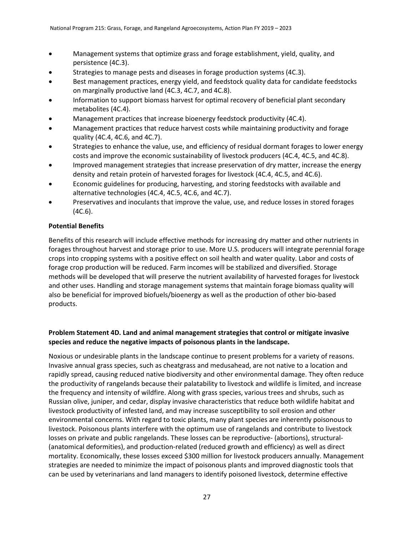- Management systems that optimize grass and forage establishment, yield, quality, and persistence (4C.3).
- Strategies to manage pests and diseases in forage production systems (4C.3).
- Best management practices, energy yield, and feedstock quality data for candidate feedstocks on marginally productive land (4C.3, 4C.7, and 4C.8).
- Information to support biomass harvest for optimal recovery of beneficial plant secondary metabolites (4C.4).
- Management practices that increase bioenergy feedstock productivity (4C.4).
- Management practices that reduce harvest costs while maintaining productivity and forage quality (4C.4, 4C.6, and 4C.7).
- Strategies to enhance the value, use, and efficiency of residual dormant forages to lower energy costs and improve the economic sustainability of livestock producers (4C.4, 4C.5, and 4C.8).
- Improved management strategies that increase preservation of dry matter, increase the energy density and retain protein of harvested forages for livestock (4C.4, 4C.5, and 4C.6).
- Economic guidelines for producing, harvesting, and storing feedstocks with available and alternative technologies (4C.4, 4C.5, 4C.6, and 4C.7).
- Preservatives and inoculants that improve the value, use, and reduce losses in stored forages (4C.6).

# **Potential Benefits**

Benefits of this research will include effective methods for increasing dry matter and other nutrients in forages throughout harvest and storage prior to use. More U.S. producers will integrate perennial forage crops into cropping systems with a positive effect on soil health and water quality. Labor and costs of forage crop production will be reduced. Farm incomes will be stabilized and diversified. Storage methods will be developed that will preserve the nutrient availability of harvested forages for livestock and other uses. Handling and storage management systems that maintain forage biomass quality will also be beneficial for improved biofuels/bioenergy as well as the production of other bio-based products.

# **Problem Statement 4D. Land and animal management strategies that control or mitigate invasive species and reduce the negative impacts of poisonous plants in the landscape.**

Noxious or undesirable plants in the landscape continue to present problems for a variety of reasons. Invasive annual grass species, such as cheatgrass and medusahead, are not native to a location and rapidly spread, causing reduced native biodiversity and other environmental damage. They often reduce the productivity of rangelands because their palatability to livestock and wildlife is limited, and increase the frequency and intensity of wildfire. Along with grass species, various trees and shrubs, such as Russian olive, juniper, and cedar, display invasive characteristics that reduce both wildlife habitat and livestock productivity of infested land, and may increase susceptibility to soil erosion and other environmental concerns. With regard to toxic plants, many plant species are inherently poisonous to livestock. Poisonous plants interfere with the optimum use of rangelands and contribute to livestock losses on private and public rangelands. These losses can be reproductive- (abortions), structural- (anatomical deformities), and production-related (reduced growth and efficiency) as well as direct mortality. Economically, these losses exceed \$300 million for livestock producers annually. Management strategies are needed to minimize the impact of poisonous plants and improved diagnostic tools that can be used by veterinarians and land managers to identify poisoned livestock, determine effective